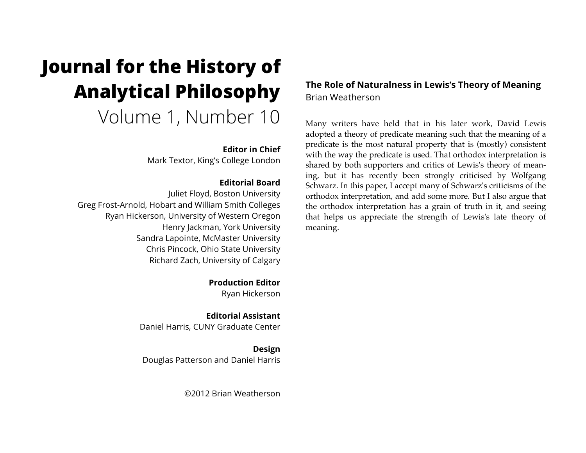# **Journal for the History of Analytical Philosophy**  Volume 1, Number 10

## **Editor in Chief**

Mark Textor, King's College London

## **Editorial Board**

Juliet Floyd, Boston University Greg Frost-Arnold, Hobart and William Smith Colleges Ryan Hickerson, University of Western Oregon Henry Jackman, York University Sandra Lapointe, McMaster University Chris Pincock, Ohio State University Richard Zach, University of Calgary

> **Production Editor** Ryan Hickerson

**Editorial Assistant** Daniel Harris, CUNY Graduate Center

**Design** Douglas Patterson and Daniel Harris

©2012 Brian Weatherson

# **The Role of Naturalness in Lewis's Theory of Meaning** Brian Weatherson

Many writers have held that in his later work, David Lewis adopted a theory of predicate meaning such that the meaning of a predicate is the most natural property that is (mostly) consistent with the way the predicate is used. That orthodox interpretation is shared by both supporters and critics of Lewis's theory of meaning, but it has recently been strongly criticised by Wolfgang Schwarz. In this paper, I accept many of Schwarz's criticisms of the orthodox interpretation, and add some more. But I also argue that the orthodox interpretation has a grain of truth in it, and seeing that helps us appreciate the strength of Lewis's late theory of meaning.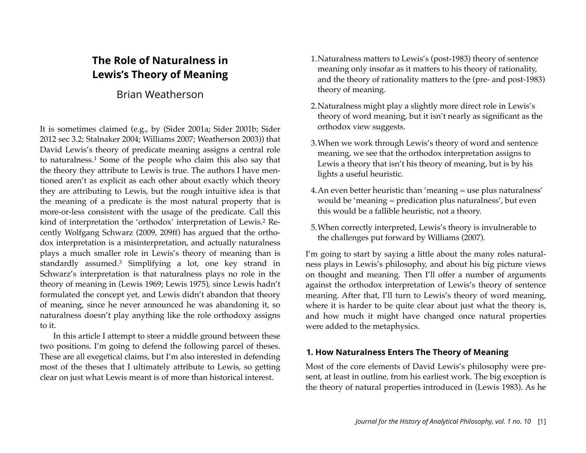# **The Role of Naturalness in Lewis's Theory of Meaning**

# Brian Weatherson

It is sometimes claimed (e.g., by (Sider 2001a; Sider 2001b; Sider 2012 sec 3.2; Stalnaker 2004; Williams 2007; Weatherson 2003)) that David Lewis's theory of predicate meaning assigns a central role to naturalness.[1](#page-17-0) Some of the people who claim this also say that the theory they attribute to Lewis is true. The authors I have mentioned aren't as explicit as each other about exactly which theory they are attributing to Lewis, but the rough intuitive idea is that the meaning of a predicate is the most natural property that is more-or-less consistent with the usage of the predicate. Call this kind of interpretation the 'orthodox' interpretation of Lewis.[2](#page-17-1) Recently Wolfgang Schwarz (2009, 209ff) has argued that the orthodox interpretation is a misinterpretation, and actually naturalness plays a much smaller role in Lewis's theory of meaning than is standardly assumed.[3](#page-17-2) Simplifying a lot, one key strand in Schwarz's interpretation is that naturalness plays no role in the theory of meaning in (Lewis 1969; Lewis 1975), since Lewis hadn't formulated the concept yet, and Lewis didn't abandon that theory of meaning, since he never announced he was abandoning it, so naturalness doesn't play anything like the role orthodoxy assigns to it.

In this article I attempt to steer a middle ground between these two positions. I'm going to defend the following parcel of theses. These are all exegetical claims, but I'm also interested in defending most of the theses that I ultimately attribute to Lewis, so getting clear on just what Lewis meant is of more than historical interest.

- 1.Naturalness matters to Lewis's (post-1983) theory of sentence meaning only insofar as it matters to his theory of rationality, and the theory of rationality matters to the (pre- and post-1983) theory of meaning.
- 2.Naturalness might play a slightly more direct role in Lewis's theory of word meaning, but it isn't nearly as significant as the orthodox view suggests.
- 3.When we work through Lewis's theory of word and sentence meaning, we see that the orthodox interpretation assigns to Lewis a theory that isn't his theory of meaning, but is by his lights a useful heuristic.
- 4.An even better heuristic than 'meaning = use plus naturalness' would be 'meaning = predication plus naturalness', but even this would be a fallible heuristic, not a theory.
- 5.When correctly interpreted, Lewis's theory is invulnerable to the challenges put forward by Williams (2007).

I'm going to start by saying a little about the many roles naturalness plays in Lewis's philosophy, and about his big picture views on thought and meaning. Then I'll offer a number of arguments against the orthodox interpretation of Lewis's theory of sentence meaning. After that, I'll turn to Lewis's theory of word meaning, where it is harder to be quite clear about just what the theory is, and how much it might have changed once natural properties were added to the metaphysics.

## **1. How Naturalness Enters The Theory of Meaning**

Most of the core elements of David Lewis's philosophy were present, at least in outline, from his earliest work. The big exception is the theory of natural properties introduced in (Lewis 1983). As he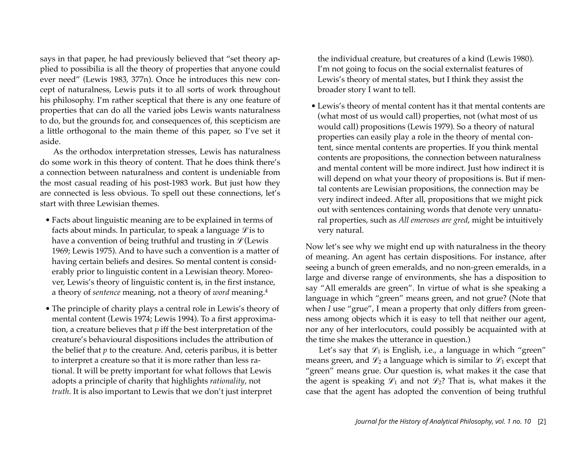says in that paper, he had previously believed that "set theory applied to possibilia is all the theory of properties that anyone could ever need" (Lewis 1983, 377n). Once he introduces this new concept of naturalness, Lewis puts it to all sorts of work throughout his philosophy. I'm rather sceptical that there is any one feature of properties that can do all the varied jobs Lewis wants naturalness to do, but the grounds for, and consequences of, this scepticism are a little orthogonal to the main theme of this paper, so I've set it aside.

As the orthodox interpretation stresses, Lewis has naturalness do some work in this theory of content. That he does think there's a connection between naturalness and content is undeniable from the most casual reading of his post-1983 work. But just how they are connected is less obvious. To spell out these connections, let's start with three Lewisian themes.

- Facts about linguistic meaning are to be explained in terms of facts about minds. In particular, to speak a language  $\mathscr{L}$  is to have a convention of being truthful and trusting in  $\mathcal{L}$  (Lewis 1969; Lewis 1975). And to have such a convention is a matter of having certain beliefs and desires. So mental content is considerably prior to linguistic content in a Lewisian theory. Moreover, Lewis's theory of linguistic content is, in the first instance, a theory of *sentence* meaning, not a theory of *word* meaning[.4](#page-17-3)
- The principle of charity plays a central role in Lewis's theory of mental content (Lewis 1974; Lewis 1994). To a first approximation, a creature believes that *p* iff the best interpretation of the creature's behavioural dispositions includes the attribution of the belief that *p* to the creature. And, ceteris paribus, it is better to interpret a creature so that it is more rather than less rational. It will be pretty important for what follows that Lewis adopts a principle of charity that highlights *rationality*, not *truth*. It is also important to Lewis that we don't just interpret

the individual creature, but creatures of a kind (Lewis 1980). I'm not going to focus on the social externalist features of Lewis's theory of mental states, but I think they assist the broader story I want to tell.

• Lewis's theory of mental content has it that mental contents are (what most of us would call) properties, not (what most of us would call) propositions (Lewis 1979). So a theory of natural properties can easily play a role in the theory of mental content, since mental contents are properties. If you think mental contents are propositions, the connection between naturalness and mental content will be more indirect. Just how indirect it is will depend on what your theory of propositions is. But if mental contents are Lewisian propositions, the connection may be very indirect indeed. After all, propositions that we might pick out with sentences containing words that denote very unnatural properties, such as *All emeroses are gred*, might be intuitively very natural.

Now let's see why we might end up with naturalness in the theory of meaning. An agent has certain dispositions. For instance, after seeing a bunch of green emeralds, and no non-green emeralds, in a large and diverse range of environments, she has a disposition to say "All emeralds are green". In virtue of what is she speaking a language in which "green" means green, and not grue? (Note that when *I* use "grue", I mean a property that only differs from greenness among objects which it is easy to tell that neither our agent, nor any of her interlocutors, could possibly be acquainted with at the time she makes the utterance in question.)

Let's say that  $\mathcal{L}_1$  is English, i.e., a language in which "green" means green, and  $\mathcal{L}_2$  a language which is similar to  $\mathcal{L}_1$  except that "green" means grue. Our question is, what makes it the case that the agent is speaking  $\mathcal{L}_1$  and not  $\mathcal{L}_2$ ? That is, what makes it the case that the agent has adopted the convention of being truthful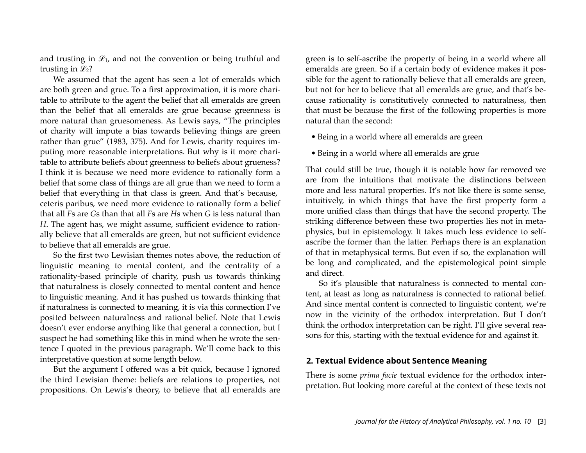and trusting in  $\mathcal{L}_1$ , and not the convention or being truthful and trusting in  $\mathcal{L}_2$ ?

We assumed that the agent has seen a lot of emeralds which are both green and grue. To a first approximation, it is more charitable to attribute to the agent the belief that all emeralds are green than the belief that all emeralds are grue because greenness is more natural than gruesomeness. As Lewis says, "The principles of charity will impute a bias towards believing things are green rather than grue" (1983, 375). And for Lewis, charity requires imputing more reasonable interpretations. But why is it more charitable to attribute beliefs about greenness to beliefs about grueness? I think it is because we need more evidence to rationally form a belief that some class of things are all grue than we need to form a belief that everything in that class is green. And that's because, ceteris paribus, we need more evidence to rationally form a belief that all *F*s are *G*s than that all *F*s are *H*s when *G* is less natural than *H*. The agent has, we might assume, sufficient evidence to rationally believe that all emeralds are green, but not sufficient evidence to believe that all emeralds are grue.

So the first two Lewisian themes notes above, the reduction of linguistic meaning to mental content, and the centrality of a rationality-based principle of charity, push us towards thinking that naturalness is closely connected to mental content and hence to linguistic meaning. And it has pushed us towards thinking that if naturalness is connected to meaning, it is via this connection I've posited between naturalness and rational belief. Note that Lewis doesn't ever endorse anything like that general a connection, but I suspect he had something like this in mind when he wrote the sentence I quoted in the previous paragraph. We'll come back to this interpretative question at some length below.

But the argument I offered was a bit quick, because I ignored the third Lewisian theme: beliefs are relations to properties, not propositions. On Lewis's theory, to believe that all emeralds are green is to self-ascribe the property of being in a world where all emeralds are green. So if a certain body of evidence makes it possible for the agent to rationally believe that all emeralds are green, but not for her to believe that all emeralds are grue, and that's because rationality is constitutively connected to naturalness, then that must be because the first of the following properties is more natural than the second:

- Being in a world where all emeralds are green
- Being in a world where all emeralds are grue

That could still be true, though it is notable how far removed we are from the intuitions that motivate the distinctions between more and less natural properties. It's not like there is some sense, intuitively, in which things that have the first property form a more unified class than things that have the second property. The striking difference between these two properties lies not in metaphysics, but in epistemology. It takes much less evidence to selfascribe the former than the latter. Perhaps there is an explanation of that in metaphysical terms. But even if so, the explanation will be long and complicated, and the epistemological point simple and direct.

So it's plausible that naturalness is connected to mental content, at least as long as naturalness is connected to rational belief. And since mental content is connected to linguistic content, we're now in the vicinity of the orthodox interpretation. But I don't think the orthodox interpretation can be right. I'll give several reasons for this, starting with the textual evidence for and against it.

## **2. Textual Evidence about Sentence Meaning**

There is some *prima facie* textual evidence for the orthodox interpretation. But looking more careful at the context of these texts not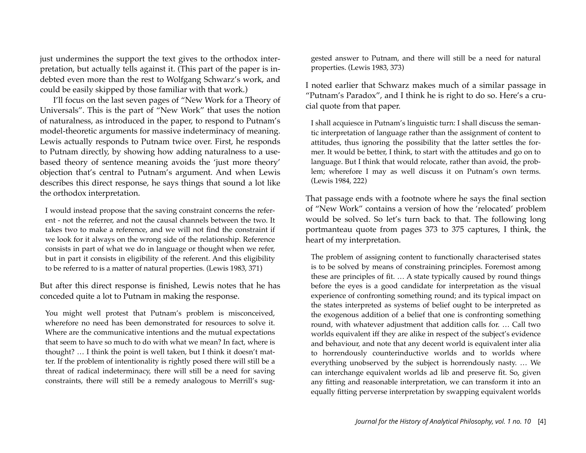just undermines the support the text gives to the orthodox interpretation, but actually tells against it. (This part of the paper is indebted even more than the rest to Wolfgang Schwarz's work, and could be easily skipped by those familiar with that work.)

I'll focus on the last seven pages of "New Work for a Theory of Universals". This is the part of "New Work" that uses the notion of naturalness, as introduced in the paper, to respond to Putnam's model-theoretic arguments for massive indeterminacy of meaning. Lewis actually responds to Putnam twice over. First, he responds to Putnam directly, by showing how adding naturalness to a usebased theory of sentence meaning avoids the 'just more theory' objection that's central to Putnam's argument. And when Lewis describes this direct response, he says things that sound a lot like the orthodox interpretation.

I would instead propose that the saving constraint concerns the referent - not the referrer, and not the causal channels between the two. It takes two to make a reference, and we will not find the constraint if we look for it always on the wrong side of the relationship. Reference consists in part of what we do in language or thought when we refer, but in part it consists in eligibility of the referent. And this eligibility to be referred to is a matter of natural properties. (Lewis 1983, 371)

But after this direct response is finished, Lewis notes that he has conceded quite a lot to Putnam in making the response.

You might well protest that Putnam's problem is misconceived, wherefore no need has been demonstrated for resources to solve it. Where are the communicative intentions and the mutual expectations that seem to have so much to do with what we mean? In fact, where is thought? … I think the point is well taken, but I think it doesn't matter. If the problem of intentionality is rightly posed there will still be a threat of radical indeterminacy, there will still be a need for saving constraints, there will still be a remedy analogous to Merrill's sug-

gested answer to Putnam, and there will still be a need for natural properties. (Lewis 1983, 373)

I noted earlier that Schwarz makes much of a similar passage in "Putnam's Paradox", and I think he is right to do so. Here's a crucial quote from that paper.

I shall acquiesce in Putnam's linguistic turn: I shall discuss the semantic interpretation of language rather than the assignment of content to attitudes, thus ignoring the possibility that the latter settles the former. It would be better, I think, to start with the attitudes and go on to language. But I think that would relocate, rather than avoid, the problem; wherefore I may as well discuss it on Putnam's own terms. (Lewis 1984, 222)

That passage ends with a footnote where he says the final section of "New Work" contains a version of how the 'relocated' problem would be solved. So let's turn back to that. The following long portmanteau quote from pages 373 to 375 captures, I think, the heart of my interpretation.

The problem of assigning content to functionally characterised states is to be solved by means of constraining principles. Foremost among these are principles of fit. … A state typically caused by round things before the eyes is a good candidate for interpretation as the visual experience of confronting something round; and its typical impact on the states interpreted as systems of belief ought to be interpreted as the exogenous addition of a belief that one is confronting something round, with whatever adjustment that addition calls for. … Call two worlds equivalent iff they are alike in respect of the subject's evidence and behaviour, and note that any decent world is equivalent inter alia to horrendously counterinductive worlds and to worlds where everything unobserved by the subject is horrendously nasty. … We can interchange equivalent worlds ad lib and preserve fit. So, given any fitting and reasonable interpretation, we can transform it into an equally fitting perverse interpretation by swapping equivalent worlds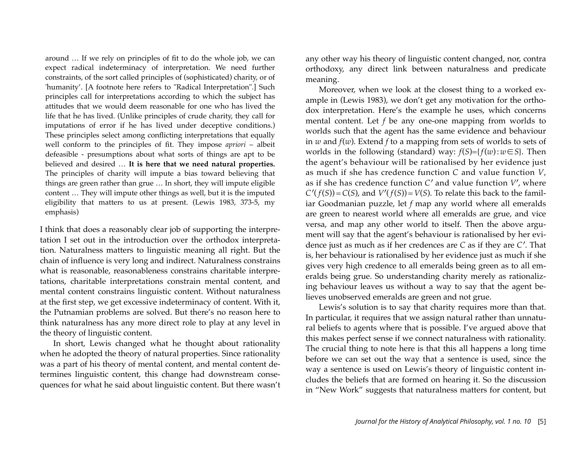around … If we rely on principles of fit to do the whole job, we can expect radical indeterminacy of interpretation. We need further constraints, of the sort called principles of (sophisticated) charity, or of 'humanity'. [A footnote here refers to "Radical Interpretation".] Such principles call for interpretations according to which the subject has attitudes that we would deem reasonable for one who has lived the life that he has lived. (Unlike principles of crude charity, they call for imputations of error if he has lived under deceptive conditions.) These principles select among conflicting interpretations that equally well conform to the principles of fit. They impose *apriori* – albeit defeasible - presumptions about what sorts of things are apt to be believed and desired … **It is here that we need natural properties.** The principles of charity will impute a bias toward believing that things are green rather than grue … In short, they will impute eligible content … They will impute other things as well, but it is the imputed eligibility that matters to us at present. (Lewis 1983, 373-5, my emphasis)

I think that does a reasonably clear job of supporting the interpretation I set out in the introduction over the orthodox interpretation. Naturalness matters to linguistic meaning all right. But the chain of influence is very long and indirect. Naturalness constrains what is reasonable, reasonableness constrains charitable interpretations, charitable interpretations constrain mental content, and mental content constrains linguistic content. Without naturalness at the first step, we get excessive indeterminacy of content. With it, the Putnamian problems are solved. But there's no reason here to think naturalness has any more direct role to play at any level in the theory of linguistic content.

In short, Lewis changed what he thought about rationality when he adopted the theory of natural properties. Since rationality was a part of his theory of mental content, and mental content determines linguistic content, this change had downstream consequences for what he said about linguistic content. But there wasn't any other way his theory of linguistic content changed, nor, contra orthodoxy, any direct link between naturalness and predicate meaning.

Moreover, when we look at the closest thing to a worked example in (Lewis 1983), we don't get any motivation for the orthodox interpretation. Here's the example he uses, which concerns mental content. Let *f* be any one-one mapping from worlds to worlds such that the agent has the same evidence and behaviour in *w* and *f*(*w*). Extend *f* to a mapping from sets of worlds to sets of worlds in the following (standard) way:  $f(S) = {f(w): w \in S}$ . Then the agent's behaviour will be rationalised by her evidence just as much if she has credence function *C* and value function *V*, as if she has credence function *C*′ and value function *V*′, where  $C'(f(S)) = C(S)$ , and  $V'(f(S)) = V(S)$ . To relate this back to the familiar Goodmanian puzzle, let *f* map any world where all emeralds are green to nearest world where all emeralds are grue, and vice versa, and map any other world to itself. Then the above argument will say that the agent's behaviour is rationalised by her evidence just as much as if her credences are *C* as if they are *C*′. That is, her behaviour is rationalised by her evidence just as much if she gives very high credence to all emeralds being green as to all emeralds being grue. So understanding charity merely as rationalizing behaviour leaves us without a way to say that the agent believes unobserved emeralds are green and not grue.

Lewis's solution is to say that charity requires more than that. In particular, it requires that we assign natural rather than unnatural beliefs to agents where that is possible. I've argued above that this makes perfect sense if we connect naturalness with rationality. The crucial thing to note here is that this all happens a long time before we can set out the way that a sentence is used, since the way a sentence is used on Lewis's theory of linguistic content includes the beliefs that are formed on hearing it. So the discussion in "New Work" suggests that naturalness matters for content, but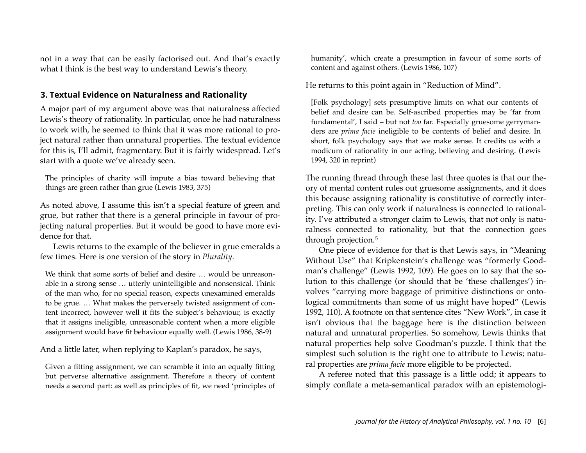not in a way that can be easily factorised out. And that's exactly what I think is the best way to understand Lewis's theory.

## **3. Textual Evidence on Naturalness and Rationality**

A major part of my argument above was that naturalness affected Lewis's theory of rationality. In particular, once he had naturalness to work with, he seemed to think that it was more rational to project natural rather than unnatural properties. The textual evidence for this is, I'll admit, fragmentary. But it is fairly widespread. Let's start with a quote we've already seen.

The principles of charity will impute a bias toward believing that things are green rather than grue (Lewis 1983, 375)

As noted above, I assume this isn't a special feature of green and grue, but rather that there is a general principle in favour of projecting natural properties. But it would be good to have more evidence for that.

Lewis returns to the example of the believer in grue emeralds a few times. Here is one version of the story in *Plurality*.

We think that some sorts of belief and desire ... would be unreasonable in a strong sense … utterly unintelligible and nonsensical. Think of the man who, for no special reason, expects unexamined emeralds to be grue. … What makes the perversely twisted assignment of content incorrect, however well it fits the subject's behaviour, is exactly that it assigns ineligible, unreasonable content when a more eligible assignment would have fit behaviour equally well. (Lewis 1986, 38-9)

And a little later, when replying to Kaplan's paradox, he says,

Given a fitting assignment, we can scramble it into an equally fitting but perverse alternative assignment. Therefore a theory of content needs a second part: as well as principles of fit, we need 'principles of humanity', which create a presumption in favour of some sorts of content and against others. (Lewis 1986, 107)

He returns to this point again in "Reduction of Mind".

[Folk psychology] sets presumptive limits on what our contents of belief and desire can be. Self-ascribed properties may be 'far from fundamental', I said – but not *too* far. Especially gruesome gerrymanders are *prima facie* ineligible to be contents of belief and desire. In short, folk psychology says that we make sense. It credits us with a modicum of rationality in our acting, believing and desiring. (Lewis 1994, 320 in reprint)

The running thread through these last three quotes is that our theory of mental content rules out gruesome assignments, and it does this because assigning rationality is constitutive of correctly interpreting. This can only work if naturalness is connected to rationality. I've attributed a stronger claim to Lewis, that not only is naturalness connected to rationality, but that the connection goes through projection.[5](#page-17-4)

One piece of evidence for that is that Lewis says, in "Meaning Without Use" that Kripkenstein's challenge was "formerly Goodman's challenge" (Lewis 1992, 109). He goes on to say that the solution to this challenge (or should that be 'these challenges') involves "carrying more baggage of primitive distinctions or ontological commitments than some of us might have hoped" (Lewis 1992, 110). A footnote on that sentence cites "New Work", in case it isn't obvious that the baggage here is the distinction between natural and unnatural properties. So somehow, Lewis thinks that natural properties help solve Goodman's puzzle. I think that the simplest such solution is the right one to attribute to Lewis; natural properties are *prima facie* more eligible to be projected.

A referee noted that this passage is a little odd; it appears to simply conflate a meta-semantical paradox with an epistemologi-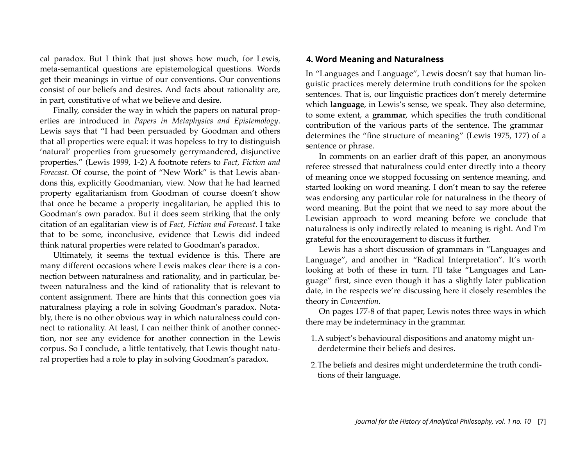cal paradox. But I think that just shows how much, for Lewis, meta-semantical questions are epistemological questions. Words get their meanings in virtue of our conventions. Our conventions consist of our beliefs and desires. And facts about rationality are, in part, constitutive of what we believe and desire.

Finally, consider the way in which the papers on natural properties are introduced in *Papers in Metaphysics and Epistemology*. Lewis says that "I had been persuaded by Goodman and others that all properties were equal: it was hopeless to try to distinguish 'natural' properties from gruesomely gerrymandered, disjunctive properties." (Lewis 1999, 1-2) A footnote refers to *Fact, Fiction and Forecast*. Of course, the point of "New Work" is that Lewis abandons this, explicitly Goodmanian, view. Now that he had learned property egalitarianism from Goodman of course doesn't show that once he became a property inegalitarian, he applied this to Goodman's own paradox. But it does seem striking that the only citation of an egalitarian view is of *Fact, Fiction and Forecast*. I take that to be some, inconclusive, evidence that Lewis did indeed think natural properties were related to Goodman's paradox.

Ultimately, it seems the textual evidence is this. There are many different occasions where Lewis makes clear there is a connection between naturalness and rationality, and in particular, between naturalness and the kind of rationality that is relevant to content assignment. There are hints that this connection goes via naturalness playing a role in solving Goodman's paradox. Notably, there is no other obvious way in which naturalness could connect to rationality. At least, I can neither think of another connection, nor see any evidence for another connection in the Lewis corpus. So I conclude, a little tentatively, that Lewis thought natural properties had a role to play in solving Goodman's paradox.

## **4. Word Meaning and Naturalness**

In "Languages and Language", Lewis doesn't say that human linguistic practices merely determine truth conditions for the spoken sentences. That is, our linguistic practices don't merely determine which **language**, in Lewis's sense, we speak. They also determine, to some extent, a **grammar**, which specifies the truth conditional contribution of the various parts of the sentence. The grammar determines the "fine structure of meaning" (Lewis 1975, 177) of a sentence or phrase.

In comments on an earlier draft of this paper, an anonymous referee stressed that naturalness could enter directly into a theory of meaning once we stopped focussing on sentence meaning, and started looking on word meaning. I don't mean to say the referee was endorsing any particular role for naturalness in the theory of word meaning. But the point that we need to say more about the Lewisian approach to word meaning before we conclude that naturalness is only indirectly related to meaning is right. And I'm grateful for the encouragement to discuss it further.

Lewis has a short discussion of grammars in "Languages and Language", and another in "Radical Interpretation". It's worth looking at both of these in turn. I'll take "Languages and Language" first, since even though it has a slightly later publication date, in the respects we're discussing here it closely resembles the theory in *Convention*.

On pages 177-8 of that paper, Lewis notes three ways in which there may be indeterminacy in the grammar.

- 1.A subject's behavioural dispositions and anatomy might underdetermine their beliefs and desires.
- 2.The beliefs and desires might underdetermine the truth conditions of their language.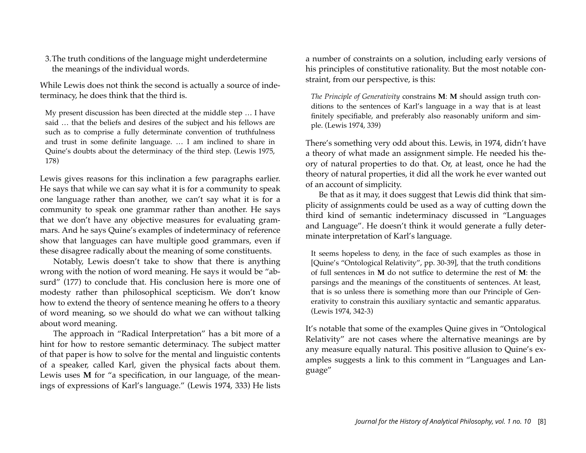3.The truth conditions of the language might underdetermine the meanings of the individual words.

While Lewis does not think the second is actually a source of indeterminacy, he does think that the third is.

My present discussion has been directed at the middle step … I have said … that the beliefs and desires of the subject and his fellows are such as to comprise a fully determinate convention of truthfulness and trust in some definite language. … I am inclined to share in Quine's doubts about the determinacy of the third step. (Lewis 1975, 178)

Lewis gives reasons for this inclination a few paragraphs earlier. He says that while we can say what it is for a community to speak one language rather than another, we can't say what it is for a community to speak one grammar rather than another. He says that we don't have any objective measures for evaluating grammars. And he says Quine's examples of indeterminacy of reference show that languages can have multiple good grammars, even if these disagree radically about the meaning of some constituents.

Notably, Lewis doesn't take to show that there is anything wrong with the notion of word meaning. He says it would be "absurd" (177) to conclude that. His conclusion here is more one of modesty rather than philosophical scepticism. We don't know how to extend the theory of sentence meaning he offers to a theory of word meaning, so we should do what we can without talking about word meaning.

The approach in "Radical Interpretation" has a bit more of a hint for how to restore semantic determinacy. The subject matter of that paper is how to solve for the mental and linguistic contents of a speaker, called Karl, given the physical facts about them. Lewis uses **M** for "a specification, in our language, of the meanings of expressions of Karl's language." (Lewis 1974, 333) He lists a number of constraints on a solution, including early versions of his principles of constitutive rationality. But the most notable constraint, from our perspective, is this:

*The Principle of Generativity* constrains **M**: **M** should assign truth conditions to the sentences of Karl's language in a way that is at least finitely specifiable, and preferably also reasonably uniform and simple. (Lewis 1974, 339)

There's something very odd about this. Lewis, in 1974, didn't have a theory of what made an assignment simple. He needed his theory of natural properties to do that. Or, at least, once he had the theory of natural properties, it did all the work he ever wanted out of an account of simplicity.

Be that as it may, it does suggest that Lewis did think that simplicity of assignments could be used as a way of cutting down the third kind of semantic indeterminacy discussed in "Languages and Language". He doesn't think it would generate a fully determinate interpretation of Karl's language.

It seems hopeless to deny, in the face of such examples as those in [Quine's "Ontological Relativity", pp. 30-39], that the truth conditions of full sentences in **M** do not sutfice to determine the rest of **M**: the parsings and the meanings of the constituents of sentences. At least, that is so unless there is something more than our Principle of Generativity to constrain this auxiliary syntactic and semantic apparatus. (Lewis 1974, 342-3)

It's notable that some of the examples Quine gives in "Ontological Relativity" are not cases where the alternative meanings are by any measure equally natural. This positive allusion to Quine's examples suggests a link to this comment in "Languages and Language"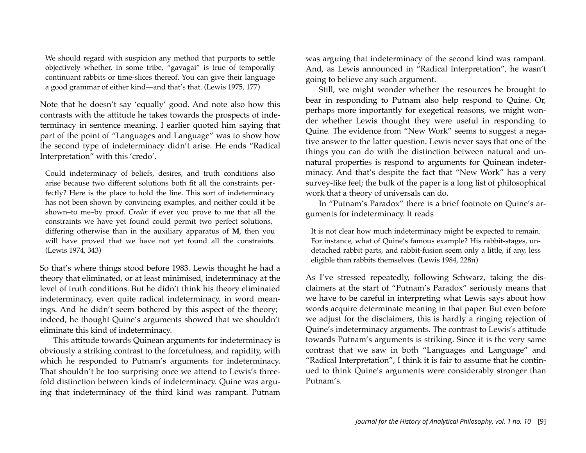We should regard with suspicion any method that purports to settle objectively whether, in some tribe, "gavagai" is true of temporally continuant rabbits or time-slices thereof. You can give their language a good grammar of either kind—and that's that. (Lewis 1975, 177)

Note that he doesn't say 'equally' good. And note also how this contrasts with the attitude he takes towards the prospects of indeterminacy in sentence meaning. I earlier quoted him saying that part of the point of "Languages and Language" was to show how the second type of indeterminacy didn't arise. He ends "Radical Interpretation" with this 'credo'.

Could indeterminacy of beliefs, desires, and truth conditions also arise because two different solutions both fit all the constraints perfectly? Here is the place to hold the line. This sort of indeterminacy has not been shown by convincing examples, and neither could it be shown–to me–by proof. *Credo*: if ever you prove to me that all the constraints we have yet found could permit two perfect solutions, differing otherwise than in the auxiliary apparatus of **M**, then you will have proved that we have not yet found all the constraints. (Lewis 1974, 343)

So that's where things stood before 1983. Lewis thought he had a theory that eliminated, or at least minimised, indeterminacy at the level of truth conditions. But he didn't think his theory eliminated indeterminacy, even quite radical indeterminacy, in word meanings. And he didn't seem bothered by this aspect of the theory; indeed, he thought Quine's arguments showed that we shouldn't eliminate this kind of indeterminacy.

This attitude towards Quinean arguments for indeterminacy is obviously a striking contrast to the forcefulness, and rapidity, with which he responded to Putnam's arguments for indeterminacy. That shouldn't be too surprising once we attend to Lewis's threefold distinction between kinds of indeterminacy. Quine was arguing that indeterminacy of the third kind was rampant. Putnam was arguing that indeterminacy of the second kind was rampant. And, as Lewis announced in "Radical Interpretation", he wasn't going to believe any such argument.

Still, we might wonder whether the resources he brought to bear in responding to Putnam also help respond to Quine. Or, perhaps more importantly for exegetical reasons, we might wonder whether Lewis thought they were useful in responding to Quine. The evidence from "New Work" seems to suggest a negative answer to the latter question. Lewis never says that one of the things you can do with the distinction between natural and unnatural properties is respond to arguments for Quinean indeterminacy. And that's despite the fact that "New Work" has a very survey-like feel; the bulk of the paper is a long list of philosophical work that a theory of universals can do.

In "Putnam's Paradox" there is a brief footnote on Quine's arguments for indeterminacy. It reads

It is not clear how much indeterminacy might be expected to remain. For instance, what of Quine's famous example? His rabbit-stages, undetached rabbit parts, and rabbit-fusion seem only a little, if any, less eligible than rabbits themselves. (Lewis 1984, 228n)

As I've stressed repeatedly, following Schwarz, taking the disclaimers at the start of "Putnam's Paradox" seriously means that we have to be careful in interpreting what Lewis says about how words acquire determinate meaning in that paper. But even before we adjust for the disclaimers, this is hardly a ringing rejection of Quine's indeterminacy arguments. The contrast to Lewis's attitude towards Putnam's arguments is striking. Since it is the very same contrast that we saw in both "Languages and Language" and "Radical Interpretation", I think it is fair to assume that he continued to think Quine's arguments were considerably stronger than Putnam's.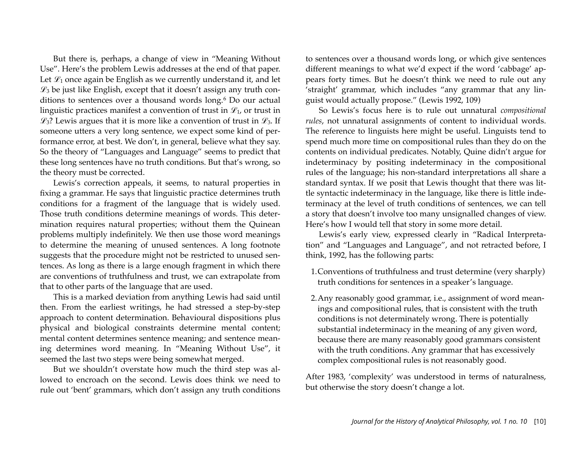But there is, perhaps, a change of view in "Meaning Without Use". Here's the problem Lewis addresses at the end of that paper. Let  $\mathcal{L}_1$  once again be English as we currently understand it, and let  $\mathscr{L}_3$  be just like English, except that it doesn't assign any truth con-ditions to sentences over a thousand words long.<sup>[6](#page-17-5)</sup> Do our actual linguistic practices manifest a convention of trust in  $\mathcal{L}_1$ , or trust in  $\mathcal{L}_3$ ? Lewis argues that it is more like a convention of trust in  $\mathcal{L}_3$ . If someone utters a very long sentence, we expect some kind of performance error, at best. We don't, in general, believe what they say. So the theory of "Languages and Language" seems to predict that these long sentences have no truth conditions. But that's wrong, so the theory must be corrected.

Lewis's correction appeals, it seems, to natural properties in fixing a grammar. He says that linguistic practice determines truth conditions for a fragment of the language that is widely used. Those truth conditions determine meanings of words. This determination requires natural properties; without them the Quinean problems multiply indefinitely. We then use those word meanings to determine the meaning of unused sentences. A long footnote suggests that the procedure might not be restricted to unused sentences. As long as there is a large enough fragment in which there are conventions of truthfulness and trust, we can extrapolate from that to other parts of the language that are used.

This is a marked deviation from anything Lewis had said until then. From the earliest writings, he had stressed a step-by-step approach to content determination. Behavioural dispositions plus physical and biological constraints determine mental content; mental content determines sentence meaning; and sentence meaning determines word meaning. In "Meaning Without Use", it seemed the last two steps were being somewhat merged.

But we shouldn't overstate how much the third step was allowed to encroach on the second. Lewis does think we need to rule out 'bent' grammars, which don't assign any truth conditions to sentences over a thousand words long, or which give sentences different meanings to what we'd expect if the word 'cabbage' appears forty times. But he doesn't think we need to rule out any 'straight' grammar, which includes "any grammar that any linguist would actually propose." (Lewis 1992, 109)

So Lewis's focus here is to rule out unnatural *compositional rules*, not unnatural assignments of content to individual words. The reference to linguists here might be useful. Linguists tend to spend much more time on compositional rules than they do on the contents on individual predicates. Notably, Quine didn't argue for indeterminacy by positing indeterminacy in the compositional rules of the language; his non-standard interpretations all share a standard syntax. If we posit that Lewis thought that there was little syntactic indeterminacy in the language, like there is little indeterminacy at the level of truth conditions of sentences, we can tell a story that doesn't involve too many unsignalled changes of view. Here's how I would tell that story in some more detail.

Lewis's early view, expressed clearly in "Radical Interpretation" and "Languages and Language", and not retracted before, I think, 1992, has the following parts:

- 1.Conventions of truthfulness and trust determine (very sharply) truth conditions for sentences in a speaker's language.
- 2.Any reasonably good grammar, i.e., assignment of word meanings and compositional rules, that is consistent with the truth conditions is not determinately wrong. There is potentially substantial indeterminacy in the meaning of any given word, because there are many reasonably good grammars consistent with the truth conditions. Any grammar that has excessively complex compositional rules is not reasonably good.

After 1983, 'complexity' was understood in terms of naturalness, but otherwise the story doesn't change a lot.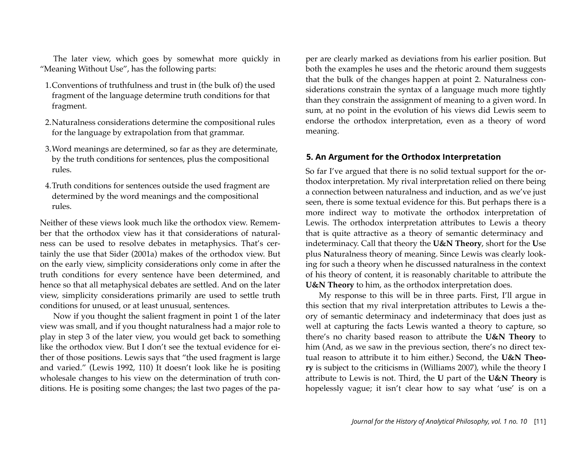The later view, which goes by somewhat more quickly in "Meaning Without Use", has the following parts:

- 1.Conventions of truthfulness and trust in (the bulk of) the used fragment of the language determine truth conditions for that fragment.
- 2.Naturalness considerations determine the compositional rules for the language by extrapolation from that grammar.
- 3.Word meanings are determined, so far as they are determinate, by the truth conditions for sentences, plus the compositional rules.
- 4.Truth conditions for sentences outside the used fragment are determined by the word meanings and the compositional rules.

Neither of these views look much like the orthodox view. Remember that the orthodox view has it that considerations of naturalness can be used to resolve debates in metaphysics. That's certainly the use that Sider (2001a) makes of the orthodox view. But on the early view, simplicity considerations only come in after the truth conditions for every sentence have been determined, and hence so that all metaphysical debates are settled. And on the later view, simplicity considerations primarily are used to settle truth conditions for unused, or at least unusual, sentences.

Now if you thought the salient fragment in point 1 of the later view was small, and if you thought naturalness had a major role to play in step 3 of the later view, you would get back to something like the orthodox view. But I don't see the textual evidence for either of those positions. Lewis says that "the used fragment is large and varied." (Lewis 1992, 110) It doesn't look like he is positing wholesale changes to his view on the determination of truth conditions. He is positing some changes; the last two pages of the paper are clearly marked as deviations from his earlier position. But both the examples he uses and the rhetoric around them suggests that the bulk of the changes happen at point 2. Naturalness considerations constrain the syntax of a language much more tightly than they constrain the assignment of meaning to a given word. In sum, at no point in the evolution of his views did Lewis seem to endorse the orthodox interpretation, even as a theory of word meaning.

#### **5. An Argument for the Orthodox Interpretation**

So far I've argued that there is no solid textual support for the orthodox interpretation. My rival interpretation relied on there being a connection between naturalness and induction, and as we've just seen, there is some textual evidence for this. But perhaps there is a more indirect way to motivate the orthodox interpretation of Lewis. The orthodox interpretation attributes to Lewis a theory that is quite attractive as a theory of semantic determinacy and indeterminacy. Call that theory the **U&N Theory**, short for the **U**se plus **N**aturalness theory of meaning. Since Lewis was clearly looking for such a theory when he discussed naturalness in the context of his theory of content, it is reasonably charitable to attribute the **U&N Theory** to him, as the orthodox interpretation does.

My response to this will be in three parts. First, I'll argue in this section that my rival interpretation attributes to Lewis a theory of semantic determinacy and indeterminacy that does just as well at capturing the facts Lewis wanted a theory to capture, so there's no charity based reason to attribute the **U&N Theory** to him (And, as we saw in the previous section, there's no direct textual reason to attribute it to him either.) Second, the **U&N Theory** is subject to the criticisms in (Williams 2007), while the theory I attribute to Lewis is not. Third, the **U** part of the **U&N Theory** is hopelessly vague; it isn't clear how to say what 'use' is on a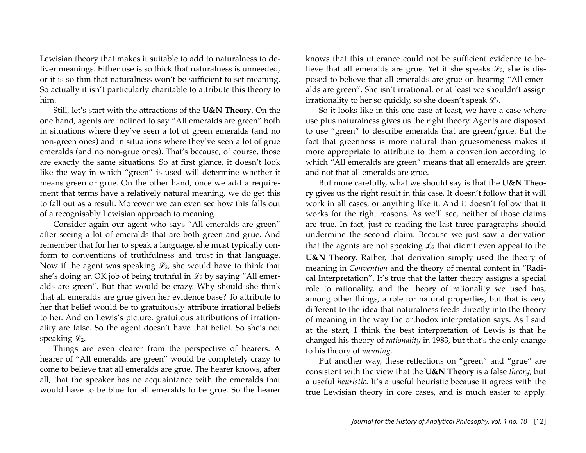Lewisian theory that makes it suitable to add to naturalness to deliver meanings. Either use is so thick that naturalness is unneeded, or it is so thin that naturalness won't be sufficient to set meaning. So actually it isn't particularly charitable to attribute this theory to him.

Still, let's start with the attractions of the **U&N Theory**. On the one hand, agents are inclined to say "All emeralds are green" both in situations where they've seen a lot of green emeralds (and no non-green ones) and in situations where they've seen a lot of grue emeralds (and no non-grue ones). That's because, of course, those are exactly the same situations. So at first glance, it doesn't look like the way in which "green" is used will determine whether it means green or grue. On the other hand, once we add a requirement that terms have a relatively natural meaning, we do get this to fall out as a result. Moreover we can even see how this falls out of a recognisably Lewisian approach to meaning.

Consider again our agent who says "All emeralds are green" after seeing a lot of emeralds that are both green and grue. And remember that for her to speak a language, she must typically conform to conventions of truthfulness and trust in that language. Now if the agent was speaking  $\mathcal{L}_2$ , she would have to think that she's doing an OK job of being truthful in  $\mathcal{L}_2$  by saying "All emeralds are green". But that would be crazy. Why should she think that all emeralds are grue given her evidence base? To attribute to her that belief would be to gratuitously attribute irrational beliefs to her. And on Lewis's picture, gratuitous attributions of irrationality are false. So the agent doesn't have that belief. So she's not speaking  $\mathscr{L}_2$ .

Things are even clearer from the perspective of hearers. A hearer of "All emeralds are green" would be completely crazy to come to believe that all emeralds are grue. The hearer knows, after all, that the speaker has no acquaintance with the emeralds that would have to be blue for all emeralds to be grue. So the hearer

knows that this utterance could not be sufficient evidence to believe that all emeralds are grue. Yet if she speaks  $\mathcal{L}_2$ , she is disposed to believe that all emeralds are grue on hearing "All emeralds are green". She isn't irrational, or at least we shouldn't assign irrationality to her so quickly, so she doesn't speak  $\mathcal{L}_2$ .

So it looks like in this one case at least, we have a case where use plus naturalness gives us the right theory. Agents are disposed to use "green" to describe emeralds that are green/grue. But the fact that greenness is more natural than gruesomeness makes it more appropriate to attribute to them a convention according to which "All emeralds are green" means that all emeralds are green and not that all emeralds are grue.

But more carefully, what we should say is that the **U&N Theory** gives us the right result in this case. It doesn't follow that it will work in all cases, or anything like it. And it doesn't follow that it works for the right reasons. As we'll see, neither of those claims are true. In fact, just re-reading the last three paragraphs should undermine the second claim. Because we just saw a derivation that the agents are not speaking  $\mathcal{L}_2$  that didn't even appeal to the **U&N Theory**. Rather, that derivation simply used the theory of meaning in *Convention* and the theory of mental content in "Radical Interpretation". It's true that the latter theory assigns a special role to rationality, and the theory of rationality we used has, among other things, a role for natural properties, but that is very different to the idea that naturalness feeds directly into the theory of meaning in the way the orthodox interpretation says. As I said at the start, I think the best interpretation of Lewis is that he changed his theory of *rationality* in 1983, but that's the only change to his theory of *meaning*.

Put another way, these reflections on "green" and "grue" are consistent with the view that the **U&N Theory** is a false *theory*, but a useful *heuristic*. It's a useful heuristic because it agrees with the true Lewisian theory in core cases, and is much easier to apply.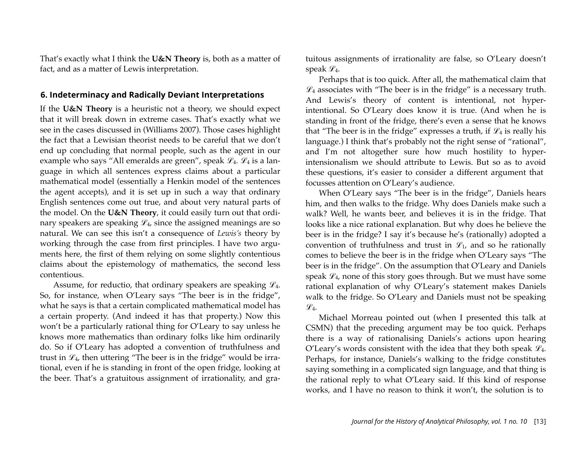That's exactly what I think the **U&N Theory** is, both as a matter of fact, and as a matter of Lewis interpretation.

## **6. Indeterminacy and Radically Deviant Interpretations**

If the **U&N Theory** is a heuristic not a theory, we should expect that it will break down in extreme cases. That's exactly what we see in the cases discussed in (Williams 2007). Those cases highlight the fact that a Lewisian theorist needs to be careful that we don't end up concluding that normal people, such as the agent in our example who says "All emeralds are green", speak  $\mathcal{L}_4$ .  $\mathcal{L}_4$  is a language in which all sentences express claims about a particular mathematical model (essentially a Henkin model of the sentences the agent accepts), and it is set up in such a way that ordinary English sentences come out true, and about very natural parts of the model. On the **U&N Theory**, it could easily turn out that ordinary speakers are speaking  $\mathcal{L}_4$ , since the assigned meanings are so natural. We can see this isn't a consequence of *Lewis's* theory by working through the case from first principles. I have two arguments here, the first of them relying on some slightly contentious claims about the epistemology of mathematics, the second less contentious.

Assume, for reductio, that ordinary speakers are speaking  $\mathcal{L}_4$ . So, for instance, when O'Leary says "The beer is in the fridge", what he says is that a certain complicated mathematical model has a certain property. (And indeed it has that property.) Now this won't be a particularly rational thing for O'Leary to say unless he knows more mathematics than ordinary folks like him ordinarily do. So if O'Leary has adopted a convention of truthfulness and trust in  $\mathcal{L}_4$ , then uttering "The beer is in the fridge" would be irrational, even if he is standing in front of the open fridge, looking at the beer. That's a gratuitous assignment of irrationality, and gratuitous assignments of irrationality are false, so O'Leary doesn't speak  $\mathscr{L}_4$ .

Perhaps that is too quick. After all, the mathematical claim that  $\mathscr{L}_4$  associates with "The beer is in the fridge" is a necessary truth. And Lewis's theory of content is intentional, not hyperintentional. So O'Leary does know it is true. (And when he is standing in front of the fridge, there's even a sense that he knows that "The beer is in the fridge" expresses a truth, if  $\mathcal{L}_4$  is really his language.) I think that's probably not the right sense of "rational", and I'm not altogether sure how much hostility to hyperintensionalism we should attribute to Lewis. But so as to avoid these questions, it's easier to consider a different argument that focusses attention on O'Leary's audience.

When O'Leary says "The beer is in the fridge", Daniels hears him, and then walks to the fridge. Why does Daniels make such a walk? Well, he wants beer, and believes it is in the fridge. That looks like a nice rational explanation. But why does he believe the beer is in the fridge? I say it's because he's (rationally) adopted a convention of truthfulness and trust in  $\mathcal{L}_1$ , and so he rationally comes to believe the beer is in the fridge when O'Leary says "The beer is in the fridge". On the assumption that O'Leary and Daniels speak  $\mathcal{L}_4$ , none of this story goes through. But we must have some rational explanation of why O'Leary's statement makes Daniels walk to the fridge. So O'Leary and Daniels must not be speaking  $\mathscr{L}_4$ .

Michael Morreau pointed out (when I presented this talk at CSMN) that the preceding argument may be too quick. Perhaps there is a way of rationalising Daniels's actions upon hearing O'Leary's words consistent with the idea that they both speak  $\mathcal{L}_4$ . Perhaps, for instance, Daniels's walking to the fridge constitutes saying something in a complicated sign language, and that thing is the rational reply to what O'Leary said. If this kind of response works, and I have no reason to think it won't, the solution is to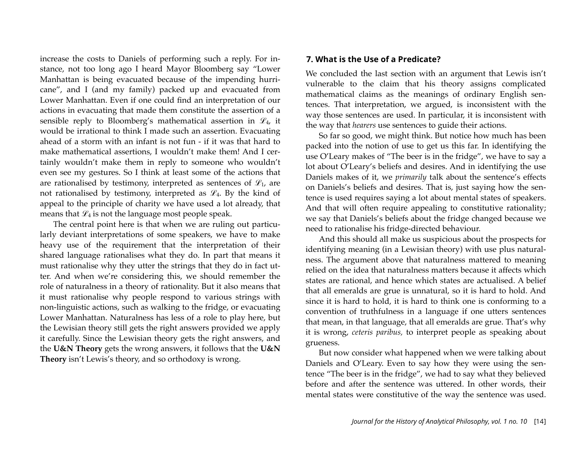increase the costs to Daniels of performing such a reply. For instance, not too long ago I heard Mayor Bloomberg say "Lower Manhattan is being evacuated because of the impending hurricane", and I (and my family) packed up and evacuated from Lower Manhattan. Even if one could find an interpretation of our actions in evacuating that made them constitute the assertion of a sensible reply to Bloomberg's mathematical assertion in  $\mathcal{L}_4$ , it would be irrational to think I made such an assertion. Evacuating ahead of a storm with an infant is not fun - if it was that hard to make mathematical assertions, I wouldn't make them! And I certainly wouldn't make them in reply to someone who wouldn't even see my gestures. So I think at least some of the actions that are rationalised by testimony, interpreted as sentences of  $\mathcal{L}_1$ , are not rationalised by testimony, interpreted as  $\mathcal{L}_4$ . By the kind of appeal to the principle of charity we have used a lot already, that means that  $\mathcal{L}_4$  is not the language most people speak.

The central point here is that when we are ruling out particularly deviant interpretations of some speakers, we have to make heavy use of the requirement that the interpretation of their shared language rationalises what they do. In part that means it must rationalise why they utter the strings that they do in fact utter. And when we're considering this, we should remember the role of naturalness in a theory of rationality. But it also means that it must rationalise why people respond to various strings with non-linguistic actions, such as walking to the fridge, or evacuating Lower Manhattan. Naturalness has less of a role to play here, but the Lewisian theory still gets the right answers provided we apply it carefully. Since the Lewisian theory gets the right answers, and the **U&N Theory** gets the wrong answers, it follows that the **U&N Theory** isn't Lewis's theory, and so orthodoxy is wrong.

#### **7. What is the Use of a Predicate?**

We concluded the last section with an argument that Lewis isn't vulnerable to the claim that his theory assigns complicated mathematical claims as the meanings of ordinary English sentences. That interpretation, we argued, is inconsistent with the way those sentences are used. In particular, it is inconsistent with the way that *hearers* use sentences to guide their actions.

So far so good, we might think. But notice how much has been packed into the notion of use to get us this far. In identifying the use O'Leary makes of "The beer is in the fridge", we have to say a lot about O'Leary's beliefs and desires. And in identifying the use Daniels makes of it, we *primarily* talk about the sentence's effects on Daniels's beliefs and desires. That is, just saying how the sentence is used requires saying a lot about mental states of speakers. And that will often require appealing to constitutive rationality; we say that Daniels's beliefs about the fridge changed because we need to rationalise his fridge-directed behaviour.

And this should all make us suspicious about the prospects for identifying meaning (in a Lewisian theory) with use plus naturalness. The argument above that naturalness mattered to meaning relied on the idea that naturalness matters because it affects which states are rational, and hence which states are actualised. A belief that all emeralds are grue is unnatural, so it is hard to hold. And since it is hard to hold, it is hard to think one is conforming to a convention of truthfulness in a language if one utters sentences that mean, in that language, that all emeralds are grue. That's why it is wrong, *ceteris paribus,* to interpret people as speaking about grueness.

But now consider what happened when we were talking about Daniels and O'Leary. Even to say how they were using the sentence "The beer is in the fridge", we had to say what they believed before and after the sentence was uttered. In other words, their mental states were constitutive of the way the sentence was used.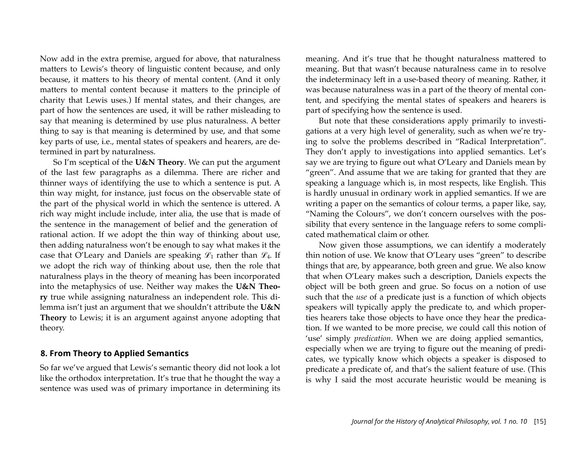Now add in the extra premise, argued for above, that naturalness matters to Lewis's theory of linguistic content because, and only because, it matters to his theory of mental content. (And it only matters to mental content because it matters to the principle of charity that Lewis uses.) If mental states, and their changes, are part of how the sentences are used, it will be rather misleading to say that meaning is determined by use plus naturalness. A better thing to say is that meaning is determined by use, and that some key parts of use, i.e., mental states of speakers and hearers, are determined in part by naturalness.

So I'm sceptical of the **U&N Theory**. We can put the argument of the last few paragraphs as a dilemma. There are richer and thinner ways of identifying the use to which a sentence is put. A thin way might, for instance, just focus on the observable state of the part of the physical world in which the sentence is uttered. A rich way might include include, inter alia, the use that is made of the sentence in the management of belief and the generation of rational action. If we adopt the thin way of thinking about use, then adding naturalness won't be enough to say what makes it the case that O'Leary and Daniels are speaking  $\mathscr{L}_1$  rather than  $\mathscr{L}_4$ . If we adopt the rich way of thinking about use, then the role that naturalness plays in the theory of meaning has been incorporated into the metaphysics of use. Neither way makes the **U&N Theory** true while assigning naturalness an independent role. This dilemma isn't just an argument that we shouldn't attribute the **U&N Theory** to Lewis; it is an argument against anyone adopting that theory.

#### **8. From Theory to Applied Semantics**

So far we've argued that Lewis's semantic theory did not look a lot like the orthodox interpretation. It's true that he thought the way a sentence was used was of primary importance in determining its meaning. And it's true that he thought naturalness mattered to meaning. But that wasn't because naturalness came in to resolve the indeterminacy left in a use-based theory of meaning. Rather, it was because naturalness was in a part of the theory of mental content, and specifying the mental states of speakers and hearers is part of specifying how the sentence is used.

But note that these considerations apply primarily to investigations at a very high level of generality, such as when we're trying to solve the problems described in "Radical Interpretation". They don't apply to investigations into applied semantics. Let's say we are trying to figure out what O'Leary and Daniels mean by "green". And assume that we are taking for granted that they are speaking a language which is, in most respects, like English. This is hardly unusual in ordinary work in applied semantics. If we are writing a paper on the semantics of colour terms, a paper like, say, "Naming the Colours", we don't concern ourselves with the possibility that every sentence in the language refers to some complicated mathematical claim or other.

Now given those assumptions, we can identify a moderately thin notion of use. We know that O'Leary uses "green" to describe things that are, by appearance, both green and grue. We also know that when O'Leary makes such a description, Daniels expects the object will be both green and grue. So focus on a notion of use such that the *use* of a predicate just is a function of which objects speakers will typically apply the predicate to, and which properties hearers take those objects to have once they hear the predication. If we wanted to be more precise, we could call this notion of 'use' simply *predication*. When we are doing applied semantics, especially when we are trying to figure out the meaning of predicates, we typically know which objects a speaker is disposed to predicate a predicate of, and that's the salient feature of use. (This is why I said the most accurate heuristic would be meaning is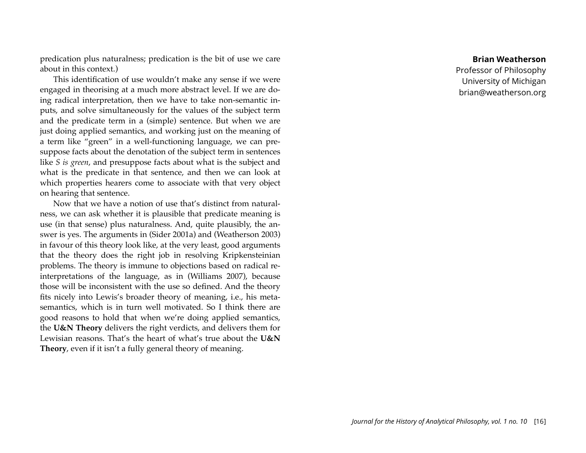predication plus naturalness; predication is the bit of use we care about in this context.)

This identification of use wouldn't make any sense if we were engaged in theorising at a much more abstract level. If we are doing radical interpretation, then we have to take non-semantic inputs, and solve simultaneously for the values of the subject term and the predicate term in a (simple) sentence. But when we are just doing applied semantics, and working just on the meaning of a term like "green" in a well-functioning language, we can presuppose facts about the denotation of the subject term in sentences like *S is green*, and presuppose facts about what is the subject and what is the predicate in that sentence, and then we can look at which properties hearers come to associate with that very object on hearing that sentence.

Now that we have a notion of use that's distinct from naturalness, we can ask whether it is plausible that predicate meaning is use (in that sense) plus naturalness. And, quite plausibly, the answer is yes. The arguments in (Sider 2001a) and (Weatherson 2003) in favour of this theory look like, at the very least, good arguments that the theory does the right job in resolving Kripkensteinian problems. The theory is immune to objections based on radical reinterpretations of the language, as in (Williams 2007), because those will be inconsistent with the use so defined. And the theory fits nicely into Lewis's broader theory of meaning, i.e., his metasemantics, which is in turn well motivated. So I think there are good reasons to hold that when we're doing applied semantics, the **U&N Theory** delivers the right verdicts, and delivers them for Lewisian reasons. That's the heart of what's true about the **U&N Theory**, even if it isn't a fully general theory of meaning.

#### **Brian Weatherson**

Professor of Philosophy University of Michigan brian@weatherson.org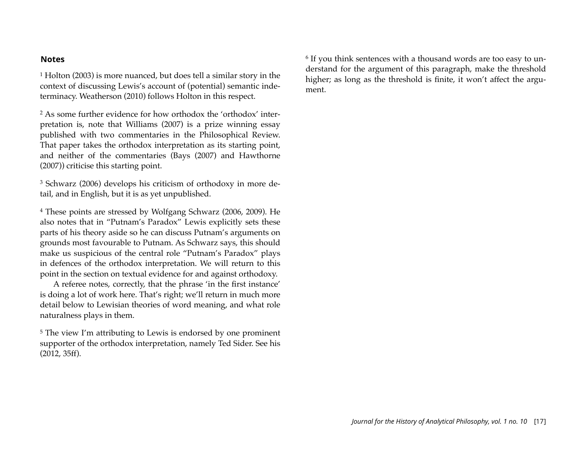#### **Notes**

<span id="page-17-0"></span>1 Holton (2003) is more nuanced, but does tell a similar story in the context of discussing Lewis's account of (potential) semantic indeterminacy. Weatherson (2010) follows Holton in this respect.

<span id="page-17-1"></span>2 As some further evidence for how orthodox the 'orthodox' interpretation is, note that Williams (2007) is a prize winning essay published with two commentaries in the Philosophical Review. That paper takes the orthodox interpretation as its starting point, and neither of the commentaries (Bays (2007) and Hawthorne (2007)) criticise this starting point.

<span id="page-17-2"></span>3 Schwarz (2006) develops his criticism of orthodoxy in more detail, and in English, but it is as yet unpublished.

<span id="page-17-3"></span>4 These points are stressed by Wolfgang Schwarz (2006, 2009). He also notes that in "Putnam's Paradox" Lewis explicitly sets these parts of his theory aside so he can discuss Putnam's arguments on grounds most favourable to Putnam. As Schwarz says, this should make us suspicious of the central role "Putnam's Paradox" plays in defences of the orthodox interpretation. We will return to this point in the section on textual evidence for and against orthodoxy.

A referee notes, correctly, that the phrase 'in the first instance' is doing a lot of work here. That's right; we'll return in much more detail below to Lewisian theories of word meaning, and what role naturalness plays in them.

<span id="page-17-4"></span>5 The view I'm attributing to Lewis is endorsed by one prominent supporter of the orthodox interpretation, namely Ted Sider. See his (2012, 35ff).

<span id="page-17-5"></span>6 If you think sentences with a thousand words are too easy to understand for the argument of this paragraph, make the threshold higher; as long as the threshold is finite, it won't affect the argument.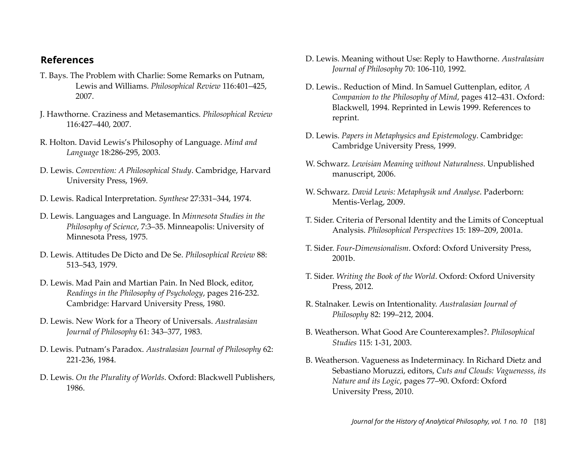## **References**

- T. Bays. The Problem with Charlie: Some Remarks on Putnam, Lewis and Williams. *Philosophical Review* 116:401–425, 2007.
- J. Hawthorne. Craziness and Metasemantics. *Philosophical Review* 116:427–440, 2007.
- R. Holton. David Lewis's Philosophy of Language. *Mind and Language* 18:286-295, 2003.
- D. Lewis. *Convention: A Philosophical Study*. Cambridge, Harvard University Press, 1969.
- D. Lewis. Radical Interpretation. *Synthese* 27:331–344, 1974.
- D. Lewis. Languages and Language. In *Minnesota Studies in the Philosophy of Science*, 7:3–35. Minneapolis: University of Minnesota Press, 1975.
- D. Lewis. Attitudes De Dicto and De Se. *Philosophical Review* 88: 513–543, 1979.
- D. Lewis. Mad Pain and Martian Pain. In Ned Block, editor, *Readings in the Philosophy of Psychology*, pages 216-232. Cambridge: Harvard University Press, 1980.
- D. Lewis. New Work for a Theory of Universals. *Australasian Journal of Philosophy* 61: 343–377, 1983.
- D. Lewis. Putnam's Paradox. *Australasian Journal of Philosophy* 62: 221-236, 1984.
- D. Lewis. *On the Plurality of Worlds*. Oxford: Blackwell Publishers, 1986.
- D. Lewis. Meaning without Use: Reply to Hawthorne. *Australasian Journal of Philosophy* 70: 106-110, 1992.
- D. Lewis.. Reduction of Mind. In Samuel Guttenplan, editor, *A Companion to the Philosophy of Mind*, pages 412–431. Oxford: Blackwell, 1994. Reprinted in Lewis 1999. References to reprint.
- D. Lewis. *Papers in Metaphysics and Epistemology*. Cambridge: Cambridge University Press, 1999.
- W. Schwarz. *Lewisian Meaning without Naturalness*. Unpublished manuscript, 2006.
- W. Schwarz. *David Lewis: Metaphysik und Analyse*. Paderborn: Mentis-Verlag, 2009.
- T. Sider. Criteria of Personal Identity and the Limits of Conceptual Analysis. *Philosophical Perspectives* 15: 189–209, 2001a.
- T. Sider. *Four-Dimensionalism*. Oxford: Oxford University Press, 2001b.
- T. Sider. *Writing the Book of the World*. Oxford: Oxford University Press, 2012.
- R. Stalnaker. Lewis on Intentionality. *Australasian Journal of Philosophy* 82: 199–212, 2004.
- B. Weatherson. What Good Are Counterexamples?. *Philosophical Studies* 115: 1-31, 2003.
- B. Weatherson. Vagueness as Indeterminacy. In Richard Dietz and Sebastiano Moruzzi, editors, *Cuts and Clouds: Vaguenesss, its Nature and its Logic*, pages 77–90. Oxford: Oxford University Press, 2010.